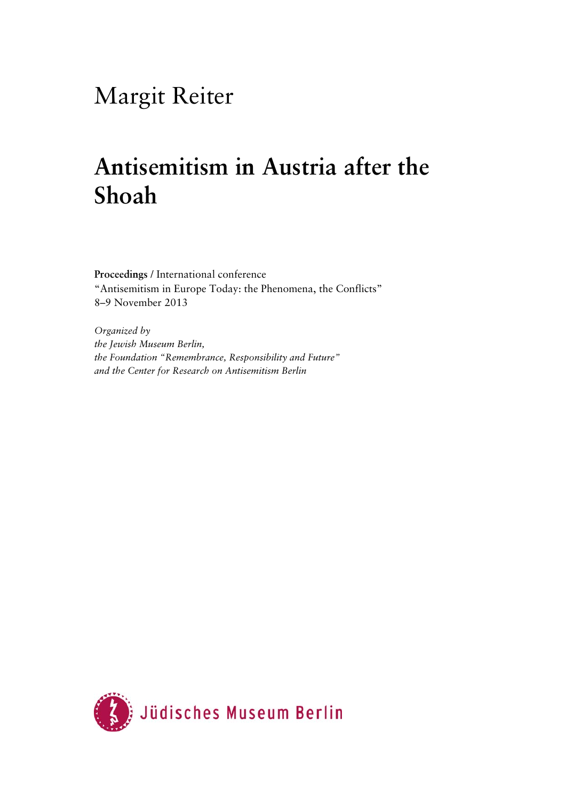## Margit Reiter

## **Antisemitism in Austria after the Shoah**

**Proceedings** / International conference "Antisemitism in Europe Today: the Phenomena, the Conflicts" 8–9 November 2013

*Organized by the Jewish Museum Berlin, the Foundation "Remembrance, Responsibility and Future" and the Center for Research on Antisemitism Berlin* 

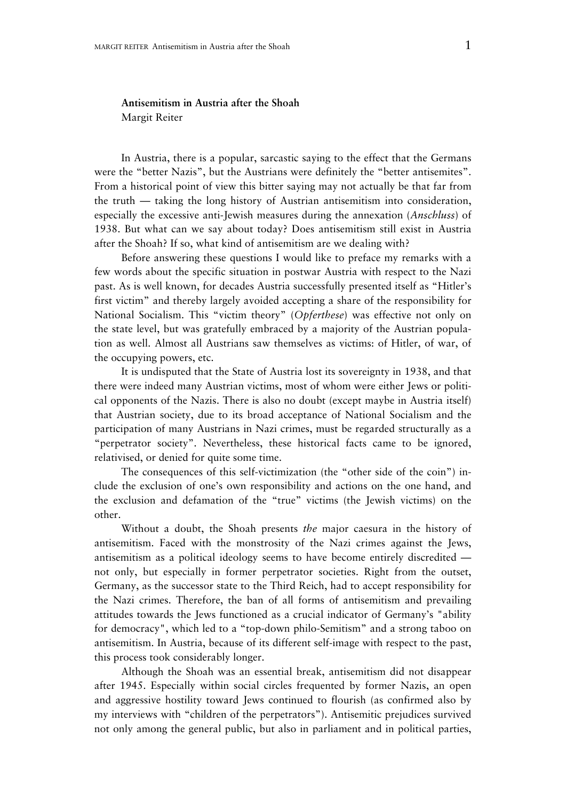## **Antisemitism in Austria after the Shoah**  Margit Reiter

In Austria, there is a popular, sarcastic saying to the effect that the Germans were the "better Nazis", but the Austrians were definitely the "better antisemites". From a historical point of view this bitter saying may not actually be that far from the truth — taking the long history of Austrian antisemitism into consideration, especially the excessive anti-Jewish measures during the annexation (*Anschluss*) of 1938. But what can we say about today? Does antisemitism still exist in Austria after the Shoah? If so, what kind of antisemitism are we dealing with?

Before answering these questions I would like to preface my remarks with a few words about the specific situation in postwar Austria with respect to the Nazi past. As is well known, for decades Austria successfully presented itself as "Hitler's first victim" and thereby largely avoided accepting a share of the responsibility for National Socialism. This "victim theory" (*Opferthese*) was effective not only on the state level, but was gratefully embraced by a majority of the Austrian population as well. Almost all Austrians saw themselves as victims: of Hitler, of war, of the occupying powers, etc.

It is undisputed that the State of Austria lost its sovereignty in 1938, and that there were indeed many Austrian victims, most of whom were either Jews or political opponents of the Nazis. There is also no doubt (except maybe in Austria itself) that Austrian society, due to its broad acceptance of National Socialism and the participation of many Austrians in Nazi crimes, must be regarded structurally as a "perpetrator society". Nevertheless, these historical facts came to be ignored, relativised, or denied for quite some time.

The consequences of this self-victimization (the "other side of the coin") include the exclusion of one's own responsibility and actions on the one hand, and the exclusion and defamation of the "true" victims (the Jewish victims) on the other.

Without a doubt, the Shoah presents *the* major caesura in the history of antisemitism. Faced with the monstrosity of the Nazi crimes against the Jews, antisemitism as a political ideology seems to have become entirely discredited not only, but especially in former perpetrator societies. Right from the outset, Germany, as the successor state to the Third Reich, had to accept responsibility for the Nazi crimes. Therefore, the ban of all forms of antisemitism and prevailing attitudes towards the Jews functioned as a crucial indicator of Germany's "ability for democracy", which led to a "top-down philo-Semitism" and a strong taboo on antisemitism. In Austria, because of its different self-image with respect to the past, this process took considerably longer.

Although the Shoah was an essential break, antisemitism did not disappear after 1945. Especially within social circles frequented by former Nazis, an open and aggressive hostility toward Jews continued to flourish (as confirmed also by my interviews with "children of the perpetrators"). Antisemitic prejudices survived not only among the general public, but also in parliament and in political parties,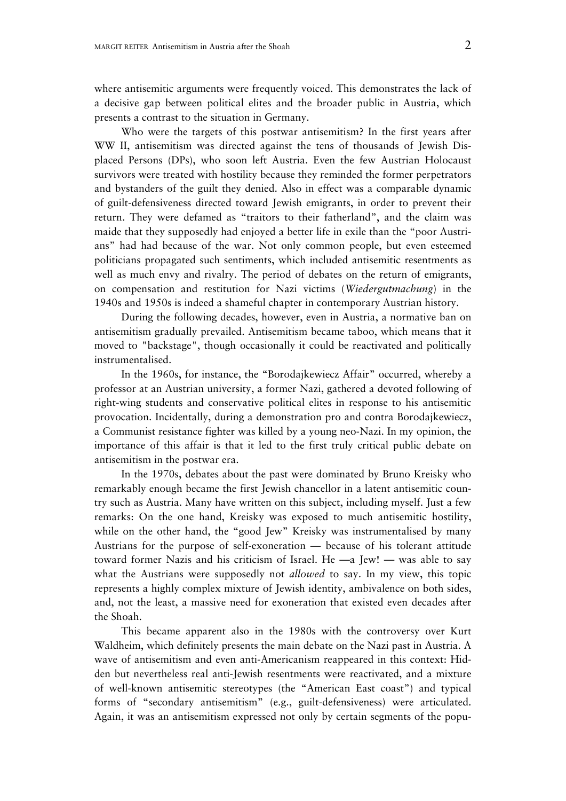where antisemitic arguments were frequently voiced. This demonstrates the lack of a decisive gap between political elites and the broader public in Austria, which presents a contrast to the situation in Germany.

Who were the targets of this postwar antisemitism? In the first years after WW II, antisemitism was directed against the tens of thousands of Jewish Displaced Persons (DPs), who soon left Austria. Even the few Austrian Holocaust survivors were treated with hostility because they reminded the former perpetrators and bystanders of the guilt they denied. Also in effect was a comparable dynamic of guilt-defensiveness directed toward Jewish emigrants, in order to prevent their return. They were defamed as "traitors to their fatherland", and the claim was maide that they supposedly had enjoyed a better life in exile than the "poor Austrians" had had because of the war. Not only common people, but even esteemed politicians propagated such sentiments, which included antisemitic resentments as well as much envy and rivalry. The period of debates on the return of emigrants, on compensation and restitution for Nazi victims (*Wiedergutmachung*) in the 1940s and 1950s is indeed a shameful chapter in contemporary Austrian history.

During the following decades, however, even in Austria, a normative ban on antisemitism gradually prevailed. Antisemitism became taboo, which means that it moved to "backstage", though occasionally it could be reactivated and politically instrumentalised.

In the 1960s, for instance, the "Borodajkewiecz Affair" occurred, whereby a professor at an Austrian university, a former Nazi, gathered a devoted following of right-wing students and conservative political elites in response to his antisemitic provocation. Incidentally, during a demonstration pro and contra Borodajkewiecz, a Communist resistance fighter was killed by a young neo-Nazi. In my opinion, the importance of this affair is that it led to the first truly critical public debate on antisemitism in the postwar era.

In the 1970s, debates about the past were dominated by Bruno Kreisky who remarkably enough became the first Jewish chancellor in a latent antisemitic country such as Austria. Many have written on this subject, including myself. Just a few remarks: On the one hand, Kreisky was exposed to much antisemitic hostility, while on the other hand, the "good Jew" Kreisky was instrumentalised by many Austrians for the purpose of self-exoneration — because of his tolerant attitude toward former Nazis and his criticism of Israel. He —a Jew! — was able to say what the Austrians were supposedly not *allowed* to say. In my view, this topic represents a highly complex mixture of Jewish identity, ambivalence on both sides, and, not the least, a massive need for exoneration that existed even decades after the Shoah.

This became apparent also in the 1980s with the controversy over Kurt Waldheim, which definitely presents the main debate on the Nazi past in Austria. A wave of antisemitism and even anti-Americanism reappeared in this context: Hidden but nevertheless real anti-Jewish resentments were reactivated, and a mixture of well-known antisemitic stereotypes (the "American East coast") and typical forms of "secondary antisemitism" (e.g., guilt-defensiveness) were articulated. Again, it was an antisemitism expressed not only by certain segments of the popu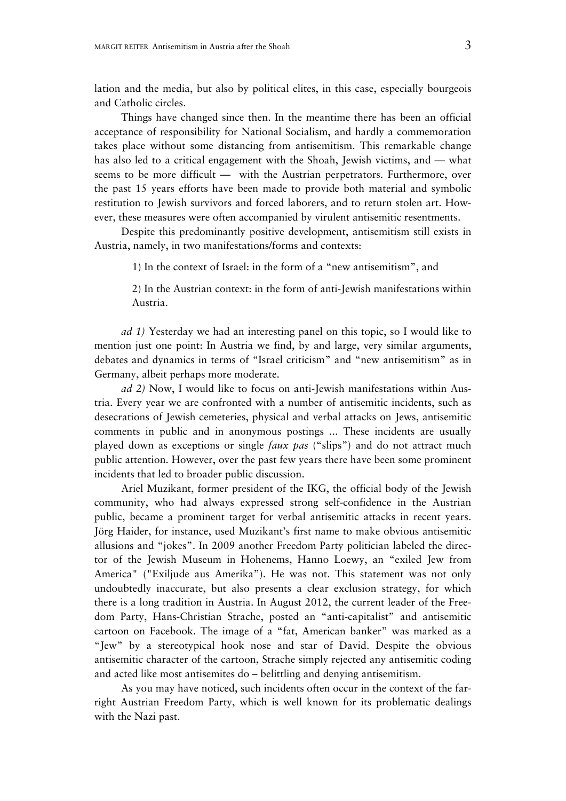lation and the media, but also by political elites, in this case, especially bourgeois and Catholic circles.

Things have changed since then. In the meantime there has been an official acceptance of responsibility for National Socialism, and hardly a commemoration takes place without some distancing from antisemitism. This remarkable change has also led to a critical engagement with the Shoah, Jewish victims, and — what seems to be more difficult — with the Austrian perpetrators. Furthermore, over the past 15 years efforts have been made to provide both material and symbolic restitution to Jewish survivors and forced laborers, and to return stolen art. However, these measures were often accompanied by virulent antisemitic resentments.

Despite this predominantly positive development, antisemitism still exists in Austria, namely, in two manifestations/forms and contexts:

1) In the context of Israel: in the form of a "new antisemitism", and

2) In the Austrian context: in the form of anti-Jewish manifestations within Austria.

*ad 1)* Yesterday we had an interesting panel on this topic, so I would like to mention just one point: In Austria we find, by and large, very similar arguments, debates and dynamics in terms of "Israel criticism" and "new antisemitism" as in Germany, albeit perhaps more moderate.

*ad 2)* Now, I would like to focus on anti-Jewish manifestations within Austria. Every year we are confronted with a number of antisemitic incidents, such as desecrations of Jewish cemeteries, physical and verbal attacks on Jews, antisemitic comments in public and in anonymous postings ... These incidents are usually played down as exceptions or single *faux pas* ("slips") and do not attract much public attention. However, over the past few years there have been some prominent incidents that led to broader public discussion.

Ariel Muzikant, former president of the IKG, the official body of the Jewish community, who had always expressed strong self-confidence in the Austrian public, became a prominent target for verbal antisemitic attacks in recent years. Jörg Haider, for instance, used Muzikant's first name to make obvious antisemitic allusions and "jokes". In 2009 another Freedom Party politician labeled the director of the Jewish Museum in Hohenems, Hanno Loewy, an "exiled Jew from America" ("Exiljude aus Amerika"). He was not. This statement was not only undoubtedly inaccurate, but also presents a clear exclusion strategy, for which there is a long tradition in Austria. In August 2012, the current leader of the Freedom Party, Hans-Christian Strache, posted an "anti-capitalist" and antisemitic cartoon on Facebook. The image of a "fat, American banker" was marked as a "Jew" by a stereotypical hook nose and star of David. Despite the obvious antisemitic character of the cartoon, Strache simply rejected any antisemitic coding and acted like most antisemites do – belittling and denying antisemitism.

As you may have noticed, such incidents often occur in the context of the farright Austrian Freedom Party, which is well known for its problematic dealings with the Nazi past.